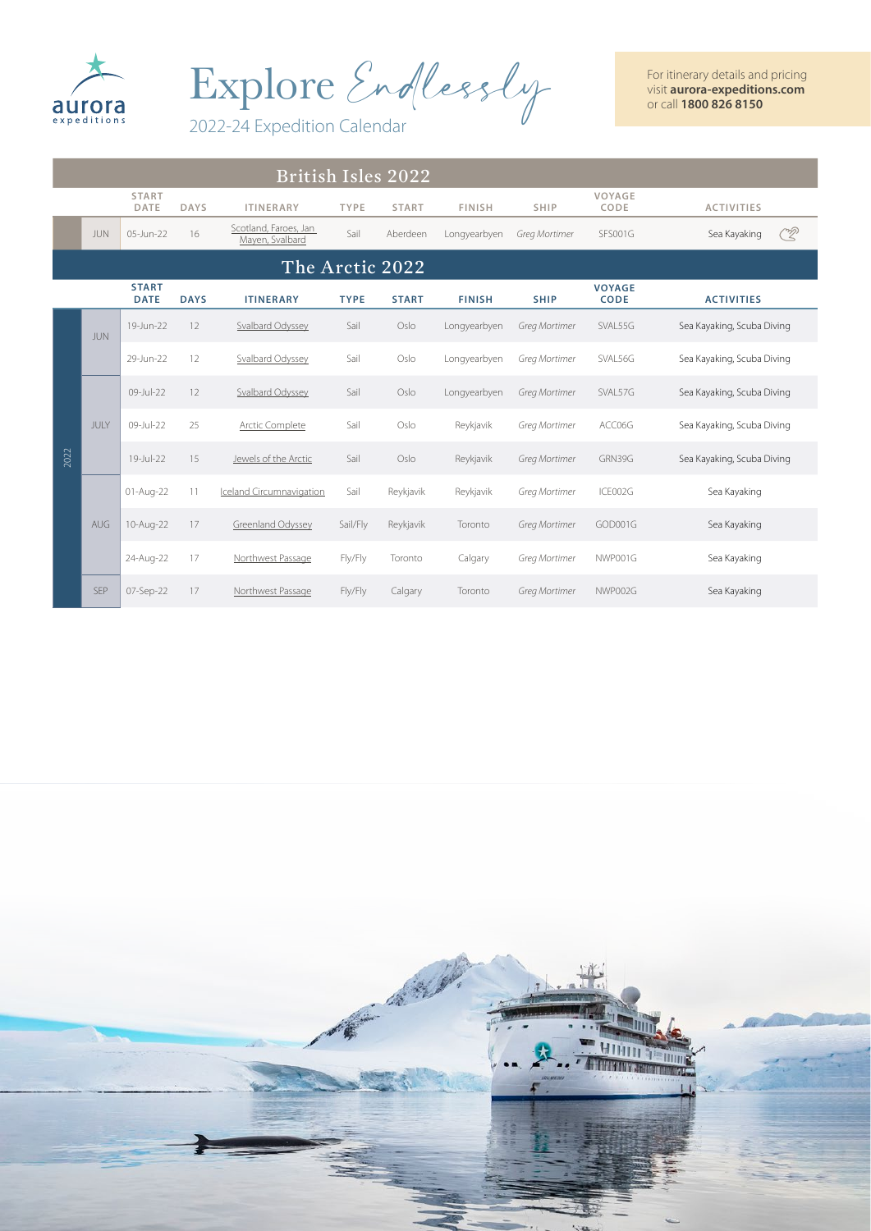

Explore Endlessly

2022-24 Expedition Calendar

|      | <b>British Isles 2022</b> |                             |             |                                          |             |                 |               |               |                              |                            |  |  |
|------|---------------------------|-----------------------------|-------------|------------------------------------------|-------------|-----------------|---------------|---------------|------------------------------|----------------------------|--|--|
|      |                           | <b>START</b><br>DATE        | <b>DAYS</b> | <b>ITINERARY</b>                         | <b>TYPE</b> | <b>START</b>    | <b>FINISH</b> | <b>SHIP</b>   | VOYAGE<br>CODE               | <b>ACTIVITIES</b>          |  |  |
|      | <b>JUN</b>                | 05-Jun-22                   | 16          | Scotland, Faroes, Jan<br>Mayen, Svalbard | Sail        | Aberdeen        | Longyearbyen  | Greg Mortimer | SFS001G                      | <u>R</u><br>Sea Kayaking   |  |  |
|      |                           |                             |             |                                          |             | The Arctic 2022 |               |               |                              |                            |  |  |
|      |                           | <b>START</b><br><b>DATE</b> | <b>DAYS</b> | <b>ITINERARY</b>                         | <b>TYPE</b> | <b>START</b>    | <b>FINISH</b> | <b>SHIP</b>   | <b>VOYAGE</b><br><b>CODE</b> | <b>ACTIVITIES</b>          |  |  |
|      | <b>JUN</b>                | 19-Jun-22                   | 12          | Svalbard Odyssey                         | Sail        | Oslo            | Longyearbyen  | Greg Mortimer | SVAL55G                      | Sea Kayaking, Scuba Diving |  |  |
| 2022 |                           | 29-Jun-22                   | 12          | <b>Svalbard Odyssey</b>                  | Sail        | Oslo            | Longyearbyen  | Greg Mortimer | SVAL56G                      | Sea Kayaking, Scuba Diving |  |  |
|      | JULY                      | 09-Jul-22                   | 12          | Svalbard Odyssey                         | Sail        | Oslo            | Longyearbyen  | Greg Mortimer | SVAL57G                      | Sea Kayaking, Scuba Diving |  |  |
|      |                           | 09-Jul-22                   | 25          | Arctic Complete                          | Sail        | Oslo            | Reykjavik     | Greg Mortimer | ACC06G                       | Sea Kayaking, Scuba Diving |  |  |
|      |                           | 19-Jul-22                   | 15          | Jewels of the Arctic                     | Sail        | Oslo            | Reykjavik     | Greg Mortimer | GRN39G                       | Sea Kayaking, Scuba Diving |  |  |
|      |                           | 01-Aug-22                   | 11          | Iceland Circumnavigation                 | Sail        | Reykjavik       | Reykjavik     | Greg Mortimer | ICE002G                      | Sea Kayaking               |  |  |
|      | AUG                       | 10-Aug-22                   | 17          | Greenland Odyssey                        | Sail/Fly    | Reykjavik       | Toronto       | Greg Mortimer | GOD001G                      | Sea Kayaking               |  |  |
|      |                           | 24-Aug-22                   | 17          | Northwest Passage                        | Fly/Fly     | Toronto         | Calgary       | Greg Mortimer | NWP001G                      | Sea Kayaking               |  |  |
|      | <b>SEP</b>                | 07-Sep-22                   | 17          | Northwest Passage                        | Fly/Fly     | Calgary         | Toronto       | Greg Mortimer | NWP002G                      | Sea Kayaking               |  |  |

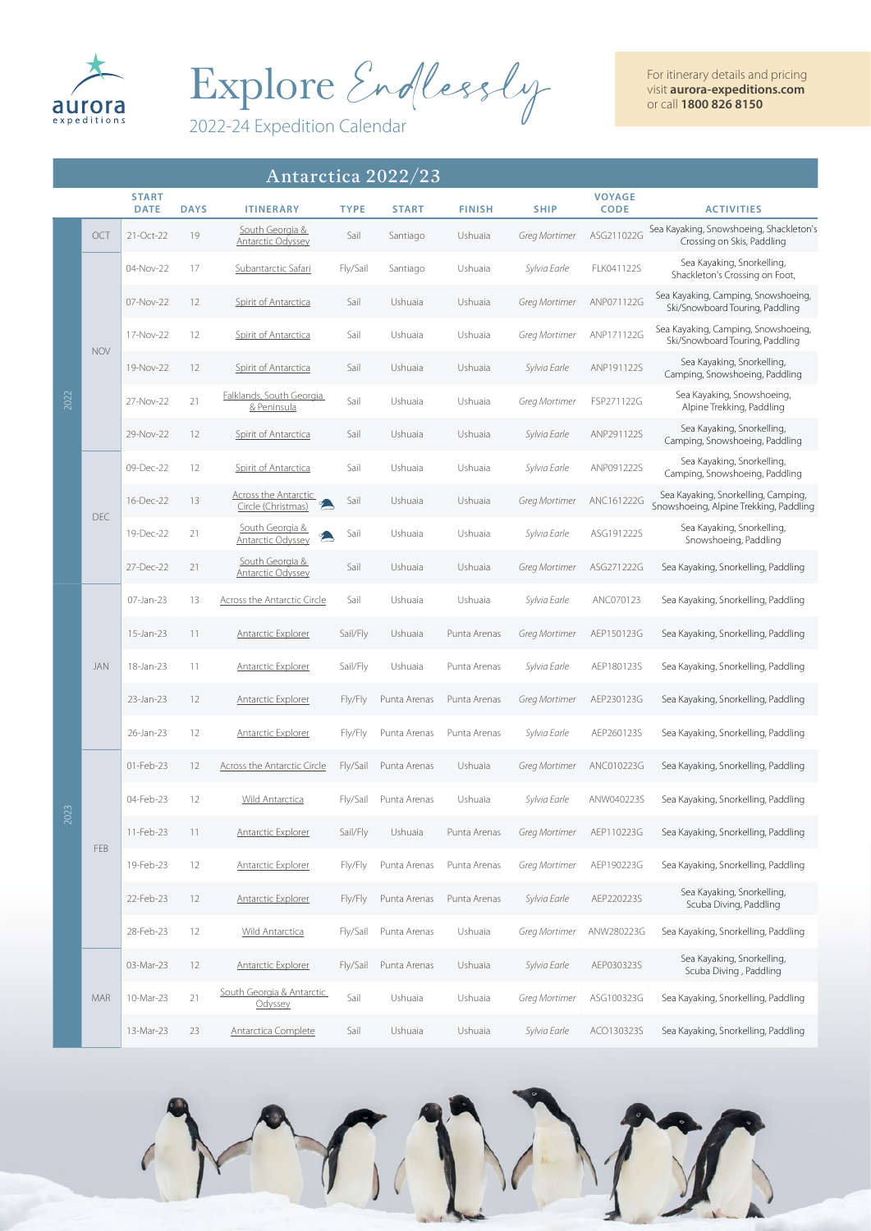

Explore Endlessly

2022-24 Expedition Calendar

| Antarctica 2022/23 |            |                             |             |                                                   |             |              |               |                      |                              |                                                                               |
|--------------------|------------|-----------------------------|-------------|---------------------------------------------------|-------------|--------------|---------------|----------------------|------------------------------|-------------------------------------------------------------------------------|
|                    |            | <b>START</b><br><b>DATE</b> | <b>DAYS</b> | <b>ITINERARY</b>                                  | <b>TYPE</b> | <b>START</b> | <b>FINISH</b> | <b>SHIP</b>          | <b>VOYAGE</b><br><b>CODE</b> | <b>ACTIVITIES</b>                                                             |
|                    | OCT        | 21-Oct-22                   | 19          | South Georgia &<br><b>Antarctic Odyssey</b>       | Sail        | Santiago     | Ushuaia       | Greg Mortimer        | ASG211022G                   | Sea Kayaking, Snowshoeing, Shackleton's<br>Crossing on Skis, Paddling         |
|                    |            | 04-Nov-22                   | 17          | Subantarctic Safari                               | Fly/Sail    | Santiago     | Ushuaia       | Sylvia Earle         | FLK041122S                   | Sea Kayaking, Snorkelling,<br>Shackleton's Crossing on Foot,                  |
|                    |            | 07-Nov-22                   | 12          | Spirit of Antarctica                              | Sail        | Ushuaia      | Ushuaia       | Greg Mortimer        | ANP071122G                   | Sea Kayaking, Camping, Snowshoeing,<br>Ski/Snowboard Touring, Paddling        |
|                    |            | 17-Nov-22                   | 12          | <b>Spirit of Antarctica</b>                       | Sail        | Ushuaia      | Ushuaia       | Greg Mortimer        | ANP171122G                   | Sea Kayaking, Camping, Snowshoeing,<br>Ski/Snowboard Touring, Paddling        |
|                    | <b>NOV</b> | 19-Nov-22                   | 12          | Spirit of Antarctica                              | Sail        | Ushuaia      | Ushuaia       | Sylvia Earle         | ANP191122S                   | Sea Kayaking, Snorkelling,<br>Camping, Snowshoeing, Paddling                  |
| 2022               |            | 27-Nov-22                   | 21          | Falklands, South Georgia<br>& Peninsula           | Sail        | Ushuaia      | Ushuaia       | Greg Mortimer        | FSP271122G                   | Sea Kayaking, Snowshoeing,<br>Alpine Trekking, Paddling                       |
|                    |            | 29-Nov-22                   | 12          | Spirit of Antarctica                              | Sail        | Ushuaia      | Ushuaia       | Sylvia Earle         | ANP291122S                   | Sea Kayaking, Snorkelling,<br>Camping, Snowshoeing, Paddling                  |
|                    |            | 09-Dec-22                   | 12          | Spirit of Antarctica                              | Sail        | Ushuaia      | Ushuaia       | Sylvia Earle         | ANP091222S                   | Sea Kayaking, Snorkelling,<br>Camping, Snowshoeing, Paddling                  |
|                    | <b>DEC</b> | 16-Dec-22                   | 13          | <b>Across the Antarctic</b><br>Circle (Christmas) | Sail        | Ushuaia      | Ushuaia       | Greg Mortimer        | ANC161222G                   | Sea Kayaking, Snorkelling, Camping,<br>Snowshoeing, Alpine Trekking, Paddling |
|                    |            | 19-Dec-22                   | 21          | South Georgia &<br>Antarctic Odyssey              | Sail        | Ushuaia      | Ushuaia       | Sylvia Earle         | ASG191222S                   | Sea Kayaking, Snorkelling,<br>Snowshoeing, Paddling                           |
|                    |            | 27-Dec-22                   | 21          | South Georgia &<br><b>Antarctic Odyssey</b>       | Sail        | Ushuaia      | Ushuaia       | Greg Mortimer        | ASG271222G                   | Sea Kayaking, Snorkelling, Paddling                                           |
|                    |            | 07-Jan-23                   | 13          | <b>Across the Antarctic Circle</b>                | Sail        | Ushuaia      | Ushuaia       | Sylvia Earle         | ANC070123                    | Sea Kayaking, Snorkelling, Paddling                                           |
|                    |            | 15-Jan-23                   | 11          | <b>Antarctic Explorer</b>                         | Sail/Fly    | Ushuaia      | Punta Arenas  | <b>Greg Mortimer</b> | AEP150123G                   | Sea Kayaking, Snorkelling, Paddling                                           |
|                    | JAN        | 18-Jan-23                   | 11          | <b>Antarctic Explorer</b>                         | Sail/Fly    | Ushuaia      | Punta Arenas  | Sylvia Earle         | AEP180123S                   | Sea Kayaking, Snorkelling, Paddling                                           |
|                    |            | 23-Jan-23                   | 12          | <b>Antarctic Explorer</b>                         | Fly/Fly     | Punta Arenas | Punta Arenas  | <b>Greg Mortimer</b> | AEP230123G                   | Sea Kayaking, Snorkelling, Paddling                                           |
|                    |            | 26-Jan-23                   | 12          | <b>Antarctic Explorer</b>                         | Fly/Fly     | Punta Arenas | Punta Arenas  | Sylvia Earle         | AEP260123S                   | Sea Kayaking, Snorkelling, Paddling                                           |
|                    |            | 01-Feb-23                   | 12          | Across the Antarctic Circle                       | Fly/Sail    | Punta Arenas | Ushuaia       | Greg Mortimer        | ANC010223G                   | Sea Kayaking, Snorkelling, Paddling                                           |
| 2023               |            | 04-Feb-23                   | 12          | Wild Antarctica                                   | Fly/Sail    | Punta Arenas | Ushuaia       | Sylvia Earle         | ANW040223S                   | Sea Kayaking, Snorkelling, Paddling                                           |
|                    | FEB        | 11-Feb-23                   | 11          | <b>Antarctic Explorer</b>                         | Sail/Fly    | Ushuaia      | Punta Arenas  | Greg Mortimer        | AEP110223G                   | Sea Kayaking, Snorkelling, Paddling                                           |
|                    |            | 19-Feb-23                   | 12          | <b>Antarctic Explorer</b>                         | Fly/Fly     | Punta Arenas | Punta Arenas  | Greg Mortimer        | AEP190223G                   | Sea Kayaking, Snorkelling, Paddling                                           |
|                    |            | 22-Feb-23                   | 12          | <b>Antarctic Explorer</b>                         | Fly/Fly     | Punta Arenas | Punta Arenas  | Sylvia Earle         | AEP220223S                   | Sea Kayaking, Snorkelling,<br>Scuba Diving, Paddling                          |
|                    |            | 28-Feb-23                   | 12          | <b>Wild Antarctica</b>                            | Fly/Sail    | Punta Arenas | Ushuaia       | Greg Mortimer        | ANW280223G                   | Sea Kayaking, Snorkelling, Paddling                                           |
|                    |            | 03-Mar-23                   | 12          | <b>Antarctic Explorer</b>                         | Fly/Sail    | Punta Arenas | Ushuaia       | Sylvia Earle         | AEP030323S                   | Sea Kayaking, Snorkelling,<br>Scuba Diving, Paddling                          |
|                    | MAR        | 10-Mar-23                   | 21          | South Georgia & Antarctic<br>Odyssey              | Sail        | Ushuaia      | Ushuaia       | Greg Mortimer        | ASG100323G                   | Sea Kayaking, Snorkelling, Paddling                                           |
|                    |            | 13-Mar-23                   | 23          | Antarctica Complete                               | Sail        | Ushuaia      | Ushuaia       | Sylvia Earle         | ACO130323S                   | Sea Kayaking, Snorkelling, Paddling                                           |

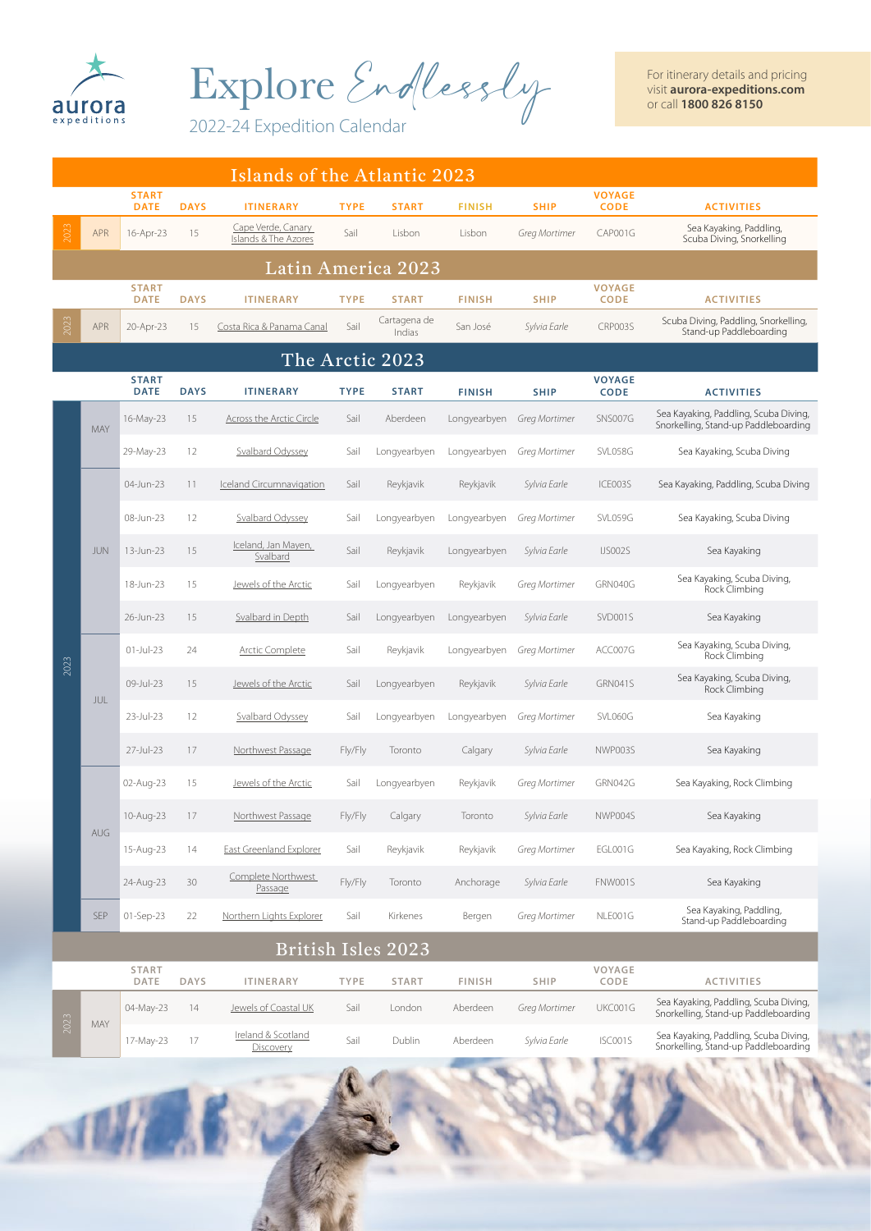

Explore Endlessly

2022-24 Expedition Calendar

|                    | Islands of the Atlantic 2023                                                                                                                                  |                             |             |                                            |             |                        |               |               |                              |                                                                               |  |
|--------------------|---------------------------------------------------------------------------------------------------------------------------------------------------------------|-----------------------------|-------------|--------------------------------------------|-------------|------------------------|---------------|---------------|------------------------------|-------------------------------------------------------------------------------|--|
|                    |                                                                                                                                                               | <b>START</b><br><b>DATE</b> | <b>DAYS</b> | <b>ITINERARY</b>                           | <b>TYPE</b> | <b>START</b>           | <b>FINISH</b> | <b>SHIP</b>   | <b>VOYAGE</b><br><b>CODE</b> | <b>ACTIVITIES</b>                                                             |  |
| 2023               | <b>APR</b>                                                                                                                                                    | 16-Apr-23                   | 15          | Cape Verde, Canary<br>Islands & The Azores | Sail        | Lisbon                 | Lisbon        | Greg Mortimer | CAP001G                      | Sea Kayaking, Paddling,<br>Scuba Diving, Snorkelling                          |  |
| Latin America 2023 |                                                                                                                                                               |                             |             |                                            |             |                        |               |               |                              |                                                                               |  |
|                    |                                                                                                                                                               | <b>START</b><br><b>DATE</b> | <b>DAYS</b> | <b>ITINERARY</b>                           | <b>TYPE</b> | <b>START</b>           | <b>FINISH</b> | <b>SHIP</b>   | <b>VOYAGE</b><br><b>CODE</b> | <b>ACTIVITIES</b>                                                             |  |
| 2023               | APR                                                                                                                                                           | 20-Apr-23                   | 15          | Costa Rica & Panama Canal                  | Sail        | Cartagena de<br>Indias | San José      | Sylvia Earle  | CRP003S                      | Scuba Diving, Paddling, Snorkelling,<br>Stand-up Paddleboarding               |  |
|                    |                                                                                                                                                               |                             |             |                                            |             | The Arctic 2023        |               |               |                              |                                                                               |  |
|                    | <b>START</b><br><b>VOYAGE</b><br><b>CODE</b><br><b>DATE</b><br><b>DAYS</b><br><b>TYPE</b><br><b>START</b><br><b>FINISH</b><br><b>SHIP</b><br><b>ITINERARY</b> |                             |             |                                            |             |                        |               |               |                              | <b>ACTIVITIES</b>                                                             |  |
|                    | <b>MAY</b>                                                                                                                                                    | 16-May-23                   | 15          | <b>Across the Arctic Circle</b>            | Sail        | Aberdeen               | Longyearbyen  | Greg Mortimer | SNS007G                      | Sea Kayaking, Paddling, Scuba Diving,<br>Snorkelling, Stand-up Paddleboarding |  |
|                    |                                                                                                                                                               | 29-May-23                   | 12          | Svalbard Odyssey                           | Sail        | Longyearbyen           | Longyearbyen  | Greg Mortimer | SVL058G                      | Sea Kayaking, Scuba Diving                                                    |  |
|                    |                                                                                                                                                               | 04-Jun-23                   | 11          | <b>Iceland Circumnavigation</b>            | Sail        | Reykjavik              | Reykjavik     | Sylvia Earle  | ICE003S                      | Sea Kayaking, Paddling, Scuba Diving                                          |  |
|                    |                                                                                                                                                               | 08-Jun-23                   | 12          | Svalbard Odyssey                           | Sail        | Longyearbyen           | Longyearbyen  | Greg Mortimer | SVL059G                      | Sea Kayaking, Scuba Diving                                                    |  |
|                    | <b>JUN</b>                                                                                                                                                    | 13-Jun-23                   | 15          | Iceland, Jan Mayen,<br>Svalbard            | Sail        | Reykjavik              | Longyearbyen  | Sylvia Earle  | IJS002S                      | Sea Kayaking                                                                  |  |
|                    |                                                                                                                                                               | 18-Jun-23                   | 15          | Jewels of the Arctic                       | Sail        | Longyearbyen           | Reykjavik     | Greg Mortimer | GRN040G                      | Sea Kayaking, Scuba Diving,<br>Rock Climbing                                  |  |
|                    |                                                                                                                                                               | 26-Jun-23                   | 15          | <b>Svalbard in Depth</b>                   | Sail        | Longyearbyen           | Longyearbyen  | Sylvia Earle  | SVD001S                      | Sea Kayaking                                                                  |  |
| 2023               | JUL                                                                                                                                                           | $01$ -Jul-23                | 24          | <b>Arctic Complete</b>                     | Sail        | Reykjavik              | Longyearbyen  | Greg Mortimer | ACC007G                      | Sea Kayaking, Scuba Diving,<br>Rock Climbing                                  |  |
|                    |                                                                                                                                                               | 09-Jul-23                   | 15          | Jewels of the Arctic                       | Sail        | Longyearbyen           | Reykjavik     | Sylvia Earle  | GRN041S                      | Sea Kayaking, Scuba Diving,<br>Rock Climbing                                  |  |
|                    |                                                                                                                                                               | 23-Jul-23                   | 12          | Svalbard Odyssey                           | Sail        | Longyearbyen           | Longyearbyen  | Greg Mortimer | SVL060G                      | Sea Kayaking                                                                  |  |
|                    |                                                                                                                                                               | 27-Jul-23                   | 17          | Northwest Passage                          | Fly/Fly     | Toronto                | Calgary       | Sylvia Earle  | NWP003S                      | Sea Kayaking                                                                  |  |
|                    |                                                                                                                                                               | 02-Aug-23                   | 15          | Jewels of the Arctic                       | Sail        | Longyearbyen           | Reykjavik     | Greg Mortimer | GRN042G                      | Sea Kayaking, Rock Climbing                                                   |  |
|                    | <b>AUG</b>                                                                                                                                                    | 10-Aug-23                   | 17          | Northwest Passage                          | Fly/Fly     | Calgary                | Toronto       | Sylvia Earle  | NWP004S                      | Sea Kayaking                                                                  |  |
|                    |                                                                                                                                                               | 15-Aug-23                   | 14          | East Greenland Explorer                    | Sail        | Reykjavik              | Reykjavik     | Greg Mortimer | EGL001G                      | Sea Kayaking, Rock Climbing                                                   |  |
|                    |                                                                                                                                                               | 24-Aug-23                   | 30          | Complete Northwest<br>Passage              | Fly/Fly     | Toronto                | Anchorage     | Sylvia Earle  | FNW001S                      | Sea Kayaking                                                                  |  |
|                    | <b>SEP</b>                                                                                                                                                    | 01-Sep-23                   | 22          | Northern Lights Explorer                   | Sail        | Kirkenes               | Bergen        | Greg Mortimer | NLE001G                      | Sea Kayaking, Paddling,<br>Stand-up Paddleboarding                            |  |
|                    |                                                                                                                                                               |                             |             |                                            |             | British Isles 2023     |               |               |                              |                                                                               |  |
|                    |                                                                                                                                                               | <b>START</b><br>DATE        | <b>DAYS</b> | <b>ITINERARY</b>                           | <b>TYPE</b> | <b>START</b>           | <b>FINISH</b> | <b>SHIP</b>   | VOYAGE<br>CODE               | <b>ACTIVITIES</b>                                                             |  |
| 2023               |                                                                                                                                                               | 04-May-23                   | 14          | Jewels of Coastal UK                       | Sail        | London                 | Aberdeen      | Greg Mortimer | UKC001G                      | Sea Kayaking, Paddling, Scuba Diving,<br>Snorkelling, Stand-up Paddleboarding |  |
|                    | MAY                                                                                                                                                           | 17-May-23                   | 17          | Ireland & Scotland<br>Discovery            | Sail        | Dublin                 | Aberdeen      | Sylvia Earle  | ISC001S                      | Sea Kayaking, Paddling, Scuba Diving,<br>Snorkelling, Stand-up Paddleboarding |  |
|                    |                                                                                                                                                               |                             |             |                                            |             |                        |               |               |                              | $\sim x$                                                                      |  |